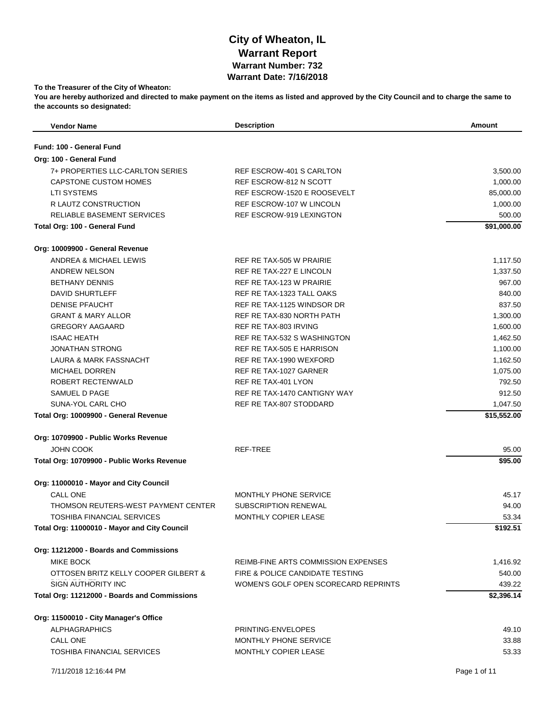## **City of Wheaton, IL Warrant Report Warrant Number: 732 Warrant Date: 7/16/2018**

## **To the Treasurer of the City of Wheaton:**

**You are hereby authorized and directed to make payment on the items as listed and approved by the City Council and to charge the same to the accounts so designated:**

| <b>Vendor Name</b>                           | <b>Description</b>                         | <b>Amount</b> |
|----------------------------------------------|--------------------------------------------|---------------|
| Fund: 100 - General Fund                     |                                            |               |
| Org: 100 - General Fund                      |                                            |               |
| 7+ PROPERTIES LLC-CARLTON SERIES             | REF ESCROW-401 S CARLTON                   | 3,500.00      |
| CAPSTONE CUSTOM HOMES                        | REF ESCROW-812 N SCOTT                     | 1,000.00      |
| <b>LTI SYSTEMS</b>                           | REF ESCROW-1520 E ROOSEVELT                | 85,000.00     |
| R LAUTZ CONSTRUCTION                         | REF ESCROW-107 W LINCOLN                   | 1,000.00      |
| RELIABLE BASEMENT SERVICES                   | <b>REF ESCROW-919 LEXINGTON</b>            | 500.00        |
| Total Org: 100 - General Fund                |                                            | \$91,000.00   |
| Org: 10009900 - General Revenue              |                                            |               |
| ANDREA & MICHAEL LEWIS                       | REF RE TAX-505 W PRAIRIE                   | 1,117.50      |
| ANDREW NELSON                                | REF RE TAX-227 E LINCOLN                   | 1,337.50      |
| <b>BETHANY DENNIS</b>                        | REF RE TAX-123 W PRAIRIE                   | 967.00        |
| DAVID SHURTLEFF                              | REF RE TAX-1323 TALL OAKS                  | 840.00        |
| <b>DENISE PFAUCHT</b>                        | REF RE TAX-1125 WINDSOR DR                 | 837.50        |
| <b>GRANT &amp; MARY ALLOR</b>                | REF RE TAX-830 NORTH PATH                  | 1,300.00      |
| <b>GREGORY AAGAARD</b>                       | REF RE TAX-803 IRVING                      | 1,600.00      |
| <b>ISAAC HEATH</b>                           | REF RE TAX-532 S WASHINGTON                | 1,462.50      |
| <b>JONATHAN STRONG</b>                       | REF RE TAX-505 E HARRISON                  | 1,100.00      |
| <b>LAURA &amp; MARK FASSNACHT</b>            | REF RE TAX-1990 WEXFORD                    | 1,162.50      |
| <b>MICHAEL DORREN</b>                        | REF RE TAX-1027 GARNER                     | 1,075.00      |
| ROBERT RECTENWALD                            | REF RE TAX-401 LYON                        | 792.50        |
| SAMUEL D PAGE                                | REF RE TAX-1470 CANTIGNY WAY               | 912.50        |
| SUNA-YOL CARL CHO                            | REF RE TAX-807 STODDARD                    | 1,047.50      |
| Total Org: 10009900 - General Revenue        |                                            | \$15,552.00   |
| Org: 10709900 - Public Works Revenue         |                                            |               |
| <b>JOHN COOK</b>                             | REF-TREE                                   | 95.00         |
| Total Org: 10709900 - Public Works Revenue   |                                            | \$95.00       |
| Org: 11000010 - Mayor and City Council       |                                            |               |
| <b>CALL ONE</b>                              | <b>MONTHLY PHONE SERVICE</b>               | 45.17         |
| THOMSON REUTERS-WEST PAYMENT CENTER          | SUBSCRIPTION RENEWAL                       | 94.00         |
| TOSHIBA FINANCIAL SERVICES                   | MONTHLY COPIER LEASE                       | 53.34         |
| Total Org: 11000010 - Mayor and City Council |                                            | \$192.51      |
| Org: 11212000 - Boards and Commissions       |                                            |               |
| <b>MIKE BOCK</b>                             | <b>REIMB-FINE ARTS COMMISSION EXPENSES</b> | 1,416.92      |
| OTTOSEN BRITZ KELLY COOPER GILBERT &         | FIRE & POLICE CANDIDATE TESTING            | 540.00        |
| <b>SIGN AUTHORITY INC</b>                    | WOMEN'S GOLF OPEN SCORECARD REPRINTS       | 439.22        |
| Total Org: 11212000 - Boards and Commissions |                                            | \$2,396.14    |
| Org: 11500010 - City Manager's Office        |                                            |               |
| <b>ALPHAGRAPHICS</b>                         | PRINTING-ENVELOPES                         | 49.10         |
| <b>CALL ONE</b>                              | MONTHLY PHONE SERVICE                      | 33.88         |
| <b>TOSHIBA FINANCIAL SERVICES</b>            | <b>MONTHLY COPIER LEASE</b>                | 53.33         |
| 7/11/2018 12:16:44 PM                        |                                            | Page 1 of 11  |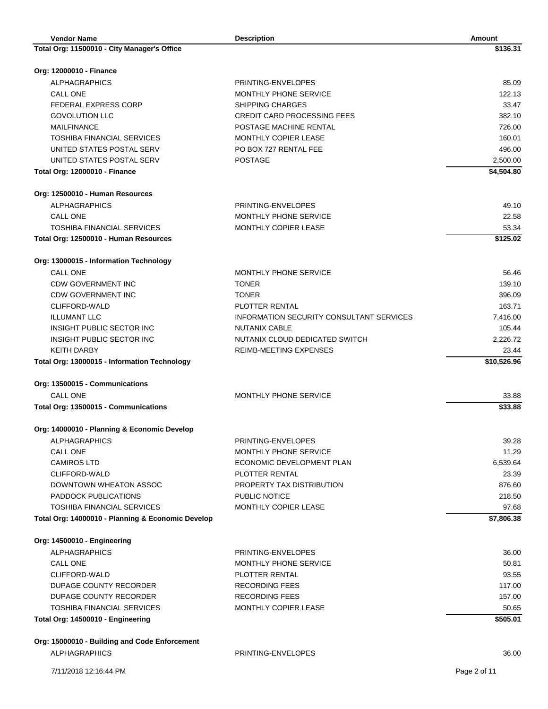| <b>Vendor Name</b>                                | <b>Description</b>                              | Amount       |
|---------------------------------------------------|-------------------------------------------------|--------------|
| Total Org: 11500010 - City Manager's Office       |                                                 | \$136.31     |
|                                                   |                                                 |              |
| Org: 12000010 - Finance                           |                                                 |              |
| <b>ALPHAGRAPHICS</b>                              | PRINTING-ENVELOPES                              | 85.09        |
| CALL ONE                                          | MONTHLY PHONE SERVICE                           | 122.13       |
| <b>FEDERAL EXPRESS CORP</b>                       | <b>SHIPPING CHARGES</b>                         | 33.47        |
| <b>GOVOLUTION LLC</b>                             | <b>CREDIT CARD PROCESSING FEES</b>              | 382.10       |
| <b>MAILFINANCE</b>                                | POSTAGE MACHINE RENTAL                          | 726.00       |
| <b>TOSHIBA FINANCIAL SERVICES</b>                 | MONTHLY COPIER LEASE                            | 160.01       |
| UNITED STATES POSTAL SERV                         | PO BOX 727 RENTAL FEE                           | 496.00       |
| UNITED STATES POSTAL SERV                         | <b>POSTAGE</b>                                  | 2,500.00     |
| <b>Total Org: 12000010 - Finance</b>              |                                                 | \$4,504.80   |
| Org: 12500010 - Human Resources                   |                                                 |              |
| <b>ALPHAGRAPHICS</b>                              | PRINTING-ENVELOPES                              | 49.10        |
| <b>CALL ONE</b>                                   | <b>MONTHLY PHONE SERVICE</b>                    | 22.58        |
| <b>TOSHIBA FINANCIAL SERVICES</b>                 | MONTHLY COPIER LEASE                            | 53.34        |
| Total Org: 12500010 - Human Resources             |                                                 | \$125.02     |
| Org: 13000015 - Information Technology            |                                                 |              |
| <b>CALL ONE</b>                                   | MONTHLY PHONE SERVICE                           | 56.46        |
| <b>CDW GOVERNMENT INC</b>                         | <b>TONER</b>                                    | 139.10       |
| <b>CDW GOVERNMENT INC</b>                         | <b>TONER</b>                                    | 396.09       |
| CLIFFORD-WALD                                     | PLOTTER RENTAL                                  | 163.71       |
| <b>ILLUMANT LLC</b>                               | <b>INFORMATION SECURITY CONSULTANT SERVICES</b> | 7,416.00     |
| INSIGHT PUBLIC SECTOR INC                         | <b>NUTANIX CABLE</b>                            | 105.44       |
| INSIGHT PUBLIC SECTOR INC                         | NUTANIX CLOUD DEDICATED SWITCH                  | 2,226.72     |
| <b>KEITH DARBY</b>                                | REIMB-MEETING EXPENSES                          | 23.44        |
| Total Org: 13000015 - Information Technology      |                                                 | \$10,526.96  |
| Org: 13500015 - Communications                    |                                                 |              |
| <b>CALL ONE</b>                                   | MONTHLY PHONE SERVICE                           | 33.88        |
| Total Org: 13500015 - Communications              |                                                 | \$33.88      |
|                                                   |                                                 |              |
| Org: 14000010 - Planning & Economic Develop       |                                                 |              |
| <b>ALPHAGRAPHICS</b>                              | PRINTING-ENVELOPES                              | 39.28        |
| <b>CALL ONE</b>                                   | MONTHLY PHONE SERVICE                           | 11.29        |
| <b>CAMIROS LTD</b>                                | ECONOMIC DEVELOPMENT PLAN                       | 6,539.64     |
| CLIFFORD-WALD                                     | PLOTTER RENTAL                                  | 23.39        |
| DOWNTOWN WHEATON ASSOC                            | PROPERTY TAX DISTRIBUTION                       | 876.60       |
| <b>PADDOCK PUBLICATIONS</b>                       | PUBLIC NOTICE                                   | 218.50       |
| <b>TOSHIBA FINANCIAL SERVICES</b>                 | MONTHLY COPIER LEASE                            | 97.68        |
| Total Org: 14000010 - Planning & Economic Develop |                                                 | \$7,806.38   |
| Org: 14500010 - Engineering                       |                                                 |              |
| <b>ALPHAGRAPHICS</b>                              | PRINTING-ENVELOPES                              | 36.00        |
| CALL ONE                                          | MONTHLY PHONE SERVICE                           | 50.81        |
| CLIFFORD-WALD                                     | PLOTTER RENTAL                                  | 93.55        |
| DUPAGE COUNTY RECORDER                            | <b>RECORDING FEES</b>                           | 117.00       |
| DUPAGE COUNTY RECORDER                            | <b>RECORDING FEES</b>                           | 157.00       |
| TOSHIBA FINANCIAL SERVICES                        | MONTHLY COPIER LEASE                            | 50.65        |
| Total Org: 14500010 - Engineering                 |                                                 | \$505.01     |
| Org: 15000010 - Building and Code Enforcement     |                                                 |              |
| <b>ALPHAGRAPHICS</b>                              | PRINTING-ENVELOPES                              | 36.00        |
| 7/11/2018 12:16:44 PM                             |                                                 | Page 2 of 11 |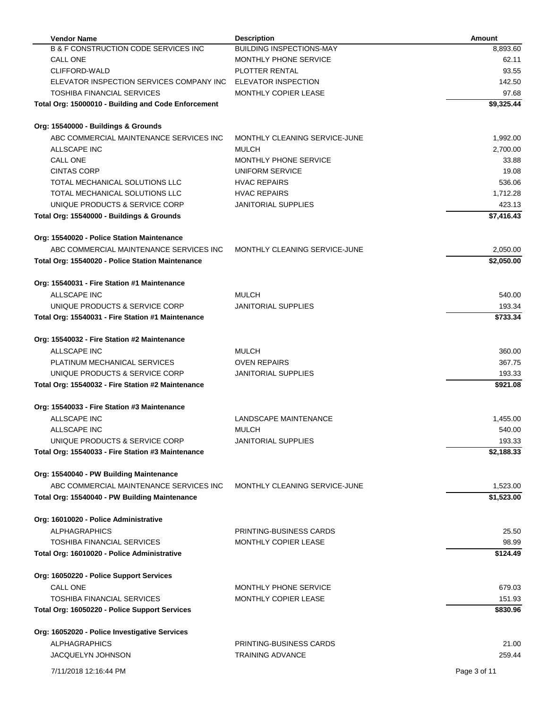| <b>Vendor Name</b>                                                                    | <b>Description</b>                                     | <b>Amount</b> |
|---------------------------------------------------------------------------------------|--------------------------------------------------------|---------------|
| <b>B &amp; F CONSTRUCTION CODE SERVICES INC</b>                                       | <b>BUILDING INSPECTIONS-MAY</b>                        | 8,893.60      |
| CALL ONE                                                                              | MONTHLY PHONE SERVICE                                  | 62.11         |
| CLIFFORD-WALD                                                                         | PLOTTER RENTAL                                         | 93.55         |
| ELEVATOR INSPECTION SERVICES COMPANY INC                                              | ELEVATOR INSPECTION                                    | 142.50        |
| <b>TOSHIBA FINANCIAL SERVICES</b>                                                     | MONTHLY COPIER LEASE                                   | 97.68         |
| Total Org: 15000010 - Building and Code Enforcement                                   |                                                        | \$9,325.44    |
|                                                                                       |                                                        |               |
| Org: 15540000 - Buildings & Grounds                                                   |                                                        |               |
| ABC COMMERCIAL MAINTENANCE SERVICES INC                                               | MONTHLY CLEANING SERVICE-JUNE                          | 1,992.00      |
| ALLSCAPE INC                                                                          | <b>MULCH</b>                                           | 2,700.00      |
| CALL ONE                                                                              | MONTHLY PHONE SERVICE                                  | 33.88         |
| <b>CINTAS CORP</b>                                                                    | UNIFORM SERVICE                                        | 19.08         |
| TOTAL MECHANICAL SOLUTIONS LLC                                                        | <b>HVAC REPAIRS</b>                                    | 536.06        |
| TOTAL MECHANICAL SOLUTIONS LLC                                                        | <b>HVAC REPAIRS</b>                                    | 1,712.28      |
| UNIQUE PRODUCTS & SERVICE CORP                                                        | <b>JANITORIAL SUPPLIES</b>                             | 423.13        |
| Total Org: 15540000 - Buildings & Grounds                                             |                                                        | \$7,416.43    |
|                                                                                       |                                                        |               |
| Org: 15540020 - Police Station Maintenance<br>ABC COMMERCIAL MAINTENANCE SERVICES INC | MONTHLY CLEANING SERVICE-JUNE                          | 2,050.00      |
| Total Org: 15540020 - Police Station Maintenance                                      |                                                        | \$2,050.00    |
|                                                                                       |                                                        |               |
| Org: 15540031 - Fire Station #1 Maintenance                                           |                                                        |               |
| ALLSCAPE INC                                                                          | <b>MULCH</b>                                           | 540.00        |
| UNIQUE PRODUCTS & SERVICE CORP                                                        | <b>JANITORIAL SUPPLIES</b>                             | 193.34        |
| Total Org: 15540031 - Fire Station #1 Maintenance                                     |                                                        | \$733.34      |
| Org: 15540032 - Fire Station #2 Maintenance                                           |                                                        |               |
| ALLSCAPE INC                                                                          | <b>MULCH</b>                                           | 360.00        |
| PLATINUM MECHANICAL SERVICES                                                          | <b>OVEN REPAIRS</b>                                    | 367.75        |
| UNIQUE PRODUCTS & SERVICE CORP                                                        | <b>JANITORIAL SUPPLIES</b>                             | 193.33        |
| Total Org: 15540032 - Fire Station #2 Maintenance                                     |                                                        | \$921.08      |
|                                                                                       |                                                        |               |
| Org: 15540033 - Fire Station #3 Maintenance                                           |                                                        |               |
| ALLSCAPE INC                                                                          | LANDSCAPE MAINTENANCE                                  | 1,455.00      |
| ALLSCAPE INC                                                                          | <b>MULCH</b>                                           | 540.00        |
| UNIQUE PRODUCTS & SERVICE CORP                                                        | <b>JANITORIAL SUPPLIES</b>                             | 193.33        |
| Total Org: 15540033 - Fire Station #3 Maintenance                                     |                                                        | \$2,188.33    |
| Org: 15540040 - PW Building Maintenance                                               |                                                        |               |
| ABC COMMERCIAL MAINTENANCE SERVICES INC                                               | MONTHLY CLEANING SERVICE-JUNE                          | 1,523.00      |
| Total Org: 15540040 - PW Building Maintenance                                         |                                                        | \$1,523.00    |
| Org: 16010020 - Police Administrative                                                 |                                                        |               |
| <b>ALPHAGRAPHICS</b>                                                                  |                                                        |               |
|                                                                                       | PRINTING-BUSINESS CARDS<br><b>MONTHLY COPIER LEASE</b> | 25.50         |
| <b>TOSHIBA FINANCIAL SERVICES</b>                                                     |                                                        | 98.99         |
| Total Org: 16010020 - Police Administrative                                           |                                                        | \$124.49      |
| Org: 16050220 - Police Support Services                                               |                                                        |               |
| CALL ONE                                                                              | MONTHLY PHONE SERVICE                                  | 679.03        |
| TOSHIBA FINANCIAL SERVICES                                                            | MONTHLY COPIER LEASE                                   | 151.93        |
| Total Org: 16050220 - Police Support Services                                         |                                                        | \$830.96      |
| Org: 16052020 - Police Investigative Services                                         |                                                        |               |
| <b>ALPHAGRAPHICS</b>                                                                  | PRINTING-BUSINESS CARDS                                | 21.00         |
| <b>JACQUELYN JOHNSON</b>                                                              | <b>TRAINING ADVANCE</b>                                | 259.44        |
|                                                                                       |                                                        |               |
| 7/11/2018 12:16:44 PM                                                                 |                                                        | Page 3 of 11  |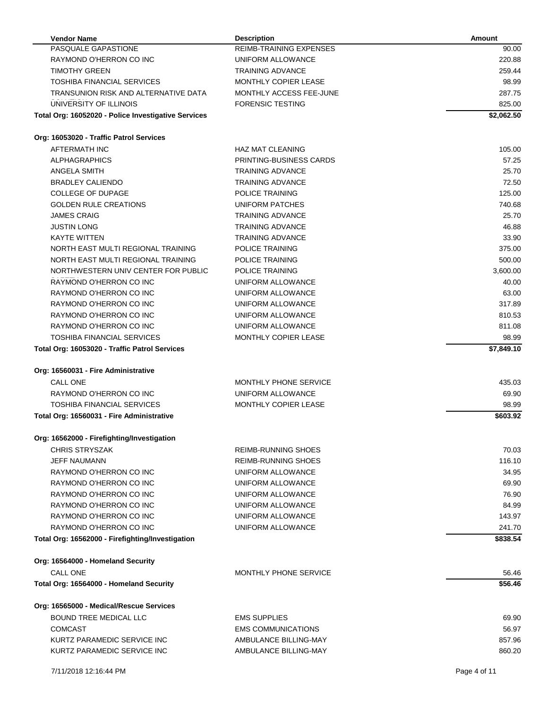| <b>Vendor Name</b>                                  | <b>Description</b>          | <b>Amount</b> |
|-----------------------------------------------------|-----------------------------|---------------|
| PASQUALE GAPASTIONE                                 | REIMB-TRAINING EXPENSES     | 90.00         |
| RAYMOND O'HERRON CO INC                             | UNIFORM ALLOWANCE           | 220.88        |
| <b>TIMOTHY GREEN</b>                                | <b>TRAINING ADVANCE</b>     | 259.44        |
| <b>TOSHIBA FINANCIAL SERVICES</b>                   | <b>MONTHLY COPIER LEASE</b> | 98.99         |
| TRANSUNION RISK AND ALTERNATIVE DATA                | MONTHLY ACCESS FEE-JUNE     | 287.75        |
| UNIVERSITY OF ILLINOIS                              | <b>FORENSIC TESTING</b>     | 825.00        |
| Total Org: 16052020 - Police Investigative Services |                             | \$2,062.50    |
| Org: 16053020 - Traffic Patrol Services             |                             |               |
| AFTERMATH INC                                       | <b>HAZ MAT CLEANING</b>     | 105.00        |
| <b>ALPHAGRAPHICS</b>                                | PRINTING-BUSINESS CARDS     | 57.25         |
| ANGELA SMITH                                        | <b>TRAINING ADVANCE</b>     | 25.70         |
| <b>BRADLEY CALIENDO</b>                             | <b>TRAINING ADVANCE</b>     | 72.50         |
| <b>COLLEGE OF DUPAGE</b>                            | POLICE TRAINING             | 125.00        |
| <b>GOLDEN RULE CREATIONS</b>                        | UNIFORM PATCHES             | 740.68        |
| <b>JAMES CRAIG</b>                                  | <b>TRAINING ADVANCE</b>     | 25.70         |
| <b>JUSTIN LONG</b>                                  | <b>TRAINING ADVANCE</b>     | 46.88         |
| <b>KAYTE WITTEN</b>                                 | <b>TRAINING ADVANCE</b>     | 33.90         |
| NORTH EAST MULTI REGIONAL TRAINING                  | POLICE TRAINING             | 375.00        |
| NORTH EAST MULTI REGIONAL TRAINING                  | POLICE TRAINING             | 500.00        |
| NORTHWESTERN UNIV CENTER FOR PUBLIC                 | POLICE TRAINING             | 3,600.00      |
| RAYMOND O'HERRON CO INC                             | UNIFORM ALLOWANCE           | 40.00         |
| RAYMOND O'HERRON CO INC                             | UNIFORM ALLOWANCE           | 63.00         |
| RAYMOND O'HERRON CO INC                             | UNIFORM ALLOWANCE           | 317.89        |
| RAYMOND O'HERRON CO INC                             | UNIFORM ALLOWANCE           | 810.53        |
| RAYMOND O'HERRON CO INC                             | UNIFORM ALLOWANCE           | 811.08        |
| <b>TOSHIBA FINANCIAL SERVICES</b>                   | <b>MONTHLY COPIER LEASE</b> | 98.99         |
|                                                     |                             | \$7,849.10    |
| Total Org: 16053020 - Traffic Patrol Services       |                             |               |
| Org: 16560031 - Fire Administrative                 |                             |               |
| CALL ONE                                            | MONTHLY PHONE SERVICE       | 435.03        |
| RAYMOND O'HERRON CO INC                             | UNIFORM ALLOWANCE           | 69.90         |
| TOSHIBA FINANCIAL SERVICES                          | <b>MONTHLY COPIER LEASE</b> | 98.99         |
| Total Org: 16560031 - Fire Administrative           |                             | \$603.92      |
| Org: 16562000 - Firefighting/Investigation          |                             |               |
| <b>CHRIS STRYSZAK</b>                               | REIMB-RUNNING SHOES         | 70.03         |
| <b>JEFF NAUMANN</b>                                 | REIMB-RUNNING SHOES         | 116.10        |
| RAYMOND O'HERRON CO INC                             | UNIFORM ALLOWANCE           | 34.95         |
| RAYMOND O'HERRON CO INC                             | UNIFORM ALLOWANCE           | 69.90         |
| RAYMOND O'HERRON CO INC                             | UNIFORM ALLOWANCE           | 76.90         |
| RAYMOND O'HERRON CO INC                             | UNIFORM ALLOWANCE           | 84.99         |
| RAYMOND O'HERRON CO INC                             | UNIFORM ALLOWANCE           | 143.97        |
| RAYMOND O'HERRON CO INC                             | UNIFORM ALLOWANCE           | 241.70        |
| Total Org: 16562000 - Firefighting/Investigation    |                             | \$838.54      |
| Org: 16564000 - Homeland Security                   |                             |               |
| CALL ONE                                            | MONTHLY PHONE SERVICE       | 56.46         |
| Total Org: 16564000 - Homeland Security             |                             | \$56.46       |
|                                                     |                             |               |
| Org: 16565000 - Medical/Rescue Services             |                             |               |
| <b>BOUND TREE MEDICAL LLC</b>                       | <b>EMS SUPPLIES</b>         | 69.90         |
| <b>COMCAST</b>                                      | <b>EMS COMMUNICATIONS</b>   | 56.97         |
| KURTZ PARAMEDIC SERVICE INC                         | AMBULANCE BILLING-MAY       | 857.96        |
| KURTZ PARAMEDIC SERVICE INC                         | AMBULANCE BILLING-MAY       | 860.20        |
| 7/11/2018 12:16:44 PM                               |                             | Page 4 of 11  |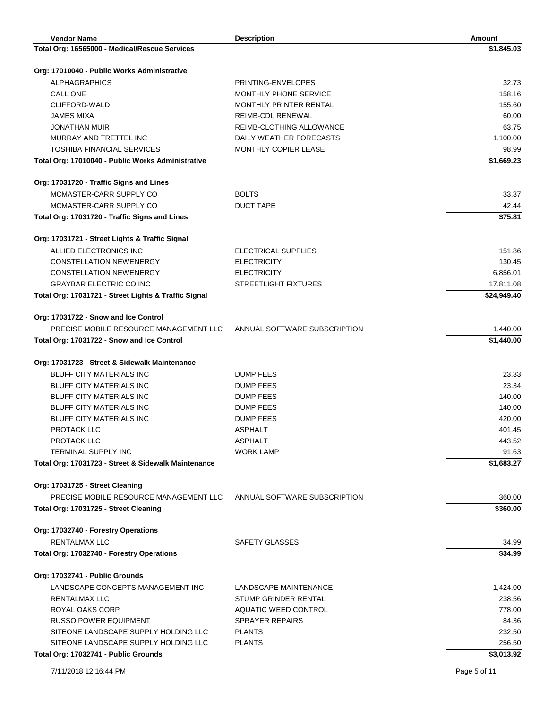| <b>Vendor Name</b>                                   | <b>Description</b>            | Amount       |
|------------------------------------------------------|-------------------------------|--------------|
| Total Org: 16565000 - Medical/Rescue Services        |                               | \$1,845.03   |
|                                                      |                               |              |
| Org: 17010040 - Public Works Administrative          |                               |              |
| <b>ALPHAGRAPHICS</b>                                 | PRINTING-ENVELOPES            | 32.73        |
| CALL ONE                                             | MONTHLY PHONE SERVICE         | 158.16       |
| CLIFFORD-WALD                                        | <b>MONTHLY PRINTER RENTAL</b> | 155.60       |
| JAMES MIXA                                           | <b>REIMB-CDL RENEWAL</b>      | 60.00        |
| <b>JONATHAN MUIR</b>                                 | REIMB-CLOTHING ALLOWANCE      | 63.75        |
| MURRAY AND TRETTEL INC                               | DAILY WEATHER FORECASTS       | 1,100.00     |
| TOSHIBA FINANCIAL SERVICES                           | <b>MONTHLY COPIER LEASE</b>   | 98.99        |
| Total Org: 17010040 - Public Works Administrative    |                               | \$1,669.23   |
| Org: 17031720 - Traffic Signs and Lines              |                               |              |
| MCMASTER-CARR SUPPLY CO                              | <b>BOLTS</b>                  | 33.37        |
| MCMASTER-CARR SUPPLY CO                              | <b>DUCT TAPE</b>              | 42.44        |
| Total Org: 17031720 - Traffic Signs and Lines        |                               | \$75.81      |
|                                                      |                               |              |
| Org: 17031721 - Street Lights & Traffic Signal       |                               |              |
| ALLIED ELECTRONICS INC                               | ELECTRICAL SUPPLIES           | 151.86       |
| <b>CONSTELLATION NEWENERGY</b>                       | <b>ELECTRICITY</b>            | 130.45       |
| <b>CONSTELLATION NEWENERGY</b>                       | <b>ELECTRICITY</b>            | 6,856.01     |
| <b>GRAYBAR ELECTRIC CO INC</b>                       | STREETLIGHT FIXTURES          | 17,811.08    |
| Total Org: 17031721 - Street Lights & Traffic Signal |                               | \$24,949.40  |
| Org: 17031722 - Snow and Ice Control                 |                               |              |
| PRECISE MOBILE RESOURCE MANAGEMENT LLC               | ANNUAL SOFTWARE SUBSCRIPTION  | 1,440.00     |
| Total Org: 17031722 - Snow and Ice Control           |                               | \$1,440.00   |
|                                                      |                               |              |
| Org: 17031723 - Street & Sidewalk Maintenance        |                               |              |
| <b>BLUFF CITY MATERIALS INC</b>                      | <b>DUMP FEES</b>              | 23.33        |
| <b>BLUFF CITY MATERIALS INC</b>                      | DUMP FEES                     | 23.34        |
| <b>BLUFF CITY MATERIALS INC</b>                      | <b>DUMP FEES</b>              | 140.00       |
| <b>BLUFF CITY MATERIALS INC</b>                      | <b>DUMP FEES</b>              | 140.00       |
| <b>BLUFF CITY MATERIALS INC</b>                      | <b>DUMP FEES</b>              | 420.00       |
| PROTACK LLC                                          | <b>ASPHALT</b>                | 401.45       |
| PROTACK LLC                                          | <b>ASPHALT</b>                | 443.52       |
| <b>TERMINAL SUPPLY INC</b>                           | <b>WORK LAMP</b>              | 91.63        |
| Total Org: 17031723 - Street & Sidewalk Maintenance  |                               | \$1,683.27   |
| Org: 17031725 - Street Cleaning                      |                               |              |
| PRECISE MOBILE RESOURCE MANAGEMENT LLC               | ANNUAL SOFTWARE SUBSCRIPTION  | 360.00       |
| Total Org: 17031725 - Street Cleaning                |                               | \$360.00     |
| Org: 17032740 - Forestry Operations                  |                               |              |
| <b>RENTALMAX LLC</b>                                 | SAFETY GLASSES                | 34.99        |
| Total Org: 17032740 - Forestry Operations            |                               | \$34.99      |
|                                                      |                               |              |
| Org: 17032741 - Public Grounds                       |                               |              |
| LANDSCAPE CONCEPTS MANAGEMENT INC                    | LANDSCAPE MAINTENANCE         | 1,424.00     |
| RENTALMAX LLC                                        | STUMP GRINDER RENTAL          | 238.56       |
| ROYAL OAKS CORP                                      | AQUATIC WEED CONTROL          | 778.00       |
| <b>RUSSO POWER EQUIPMENT</b>                         | <b>SPRAYER REPAIRS</b>        | 84.36        |
| SITEONE LANDSCAPE SUPPLY HOLDING LLC                 | <b>PLANTS</b>                 | 232.50       |
| SITEONE LANDSCAPE SUPPLY HOLDING LLC                 | <b>PLANTS</b>                 | 256.50       |
| Total Org: 17032741 - Public Grounds                 |                               | \$3,013.92   |
| 7/11/2018 12:16:44 PM                                |                               | Page 5 of 11 |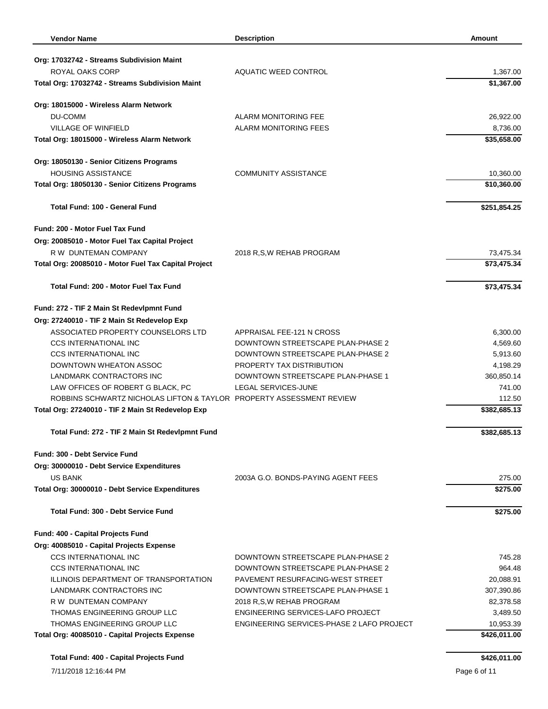| <b>Vendor Name</b>                                                             | <b>Description</b>                        | <b>Amount</b>             |
|--------------------------------------------------------------------------------|-------------------------------------------|---------------------------|
|                                                                                |                                           |                           |
| Org: 17032742 - Streams Subdivision Maint                                      |                                           |                           |
| ROYAL OAKS CORP                                                                | AQUATIC WEED CONTROL                      | 1,367.00                  |
| Total Org: 17032742 - Streams Subdivision Maint                                |                                           | \$1,367.00                |
| Org: 18015000 - Wireless Alarm Network                                         |                                           |                           |
| DU-COMM                                                                        | <b>ALARM MONITORING FEE</b>               | 26,922.00                 |
| <b>VILLAGE OF WINFIELD</b>                                                     | <b>ALARM MONITORING FEES</b>              | 8,736.00                  |
| Total Org: 18015000 - Wireless Alarm Network                                   |                                           | \$35,658.00               |
| Org: 18050130 - Senior Citizens Programs                                       |                                           |                           |
| <b>HOUSING ASSISTANCE</b>                                                      | <b>COMMUNITY ASSISTANCE</b>               | 10,360.00                 |
| Total Org: 18050130 - Senior Citizens Programs                                 |                                           | \$10,360.00               |
| <b>Total Fund: 100 - General Fund</b>                                          |                                           | \$251,854.25              |
| Fund: 200 - Motor Fuel Tax Fund                                                |                                           |                           |
| Org: 20085010 - Motor Fuel Tax Capital Project                                 |                                           |                           |
| R W DUNTEMAN COMPANY                                                           | 2018 R,S,W REHAB PROGRAM                  | 73,475.34                 |
| Total Org: 20085010 - Motor Fuel Tax Capital Project                           |                                           | \$73,475.34               |
| Total Fund: 200 - Motor Fuel Tax Fund                                          |                                           | \$73,475.34               |
| Fund: 272 - TIF 2 Main St Redevlpmnt Fund                                      |                                           |                           |
| Org: 27240010 - TIF 2 Main St Redevelop Exp                                    |                                           |                           |
| ASSOCIATED PROPERTY COUNSELORS LTD                                             | APPRAISAL FEE-121 N CROSS                 | 6,300.00                  |
| <b>CCS INTERNATIONAL INC</b>                                                   | DOWNTOWN STREETSCAPE PLAN-PHASE 2         | 4,569.60                  |
| <b>CCS INTERNATIONAL INC</b>                                                   | DOWNTOWN STREETSCAPE PLAN-PHASE 2         | 5,913.60                  |
| DOWNTOWN WHEATON ASSOC                                                         | PROPERTY TAX DISTRIBUTION                 | 4,198.29                  |
| LANDMARK CONTRACTORS INC                                                       | DOWNTOWN STREETSCAPE PLAN-PHASE 1         | 360,850.14                |
| LAW OFFICES OF ROBERT G BLACK, PC                                              | LEGAL SERVICES-JUNE                       | 741.00                    |
| ROBBINS SCHWARTZ NICHOLAS LIFTON & TAYLOR PROPERTY ASSESSMENT REVIEW           |                                           | 112.50                    |
| Total Org: 27240010 - TIF 2 Main St Redevelop Exp                              |                                           | \$382,685.13              |
| Total Fund: 272 - TIF 2 Main St Redevlpmnt Fund                                |                                           | \$382,685.13              |
| Fund: 300 - Debt Service Fund                                                  |                                           |                           |
| Org: 30000010 - Debt Service Expenditures                                      |                                           |                           |
| US BANK                                                                        | 2003A G.O. BONDS-PAYING AGENT FEES        | 275.00                    |
| Total Org: 30000010 - Debt Service Expenditures                                |                                           | \$275.00                  |
| Total Fund: 300 - Debt Service Fund                                            |                                           | \$275.00                  |
| Fund: 400 - Capital Projects Fund                                              |                                           |                           |
| Org: 40085010 - Capital Projects Expense                                       |                                           |                           |
| <b>CCS INTERNATIONAL INC</b>                                                   | DOWNTOWN STREETSCAPE PLAN-PHASE 2         | 745.28                    |
| <b>CCS INTERNATIONAL INC</b>                                                   | DOWNTOWN STREETSCAPE PLAN-PHASE 2         | 964.48                    |
| ILLINOIS DEPARTMENT OF TRANSPORTATION                                          | PAVEMENT RESURFACING-WEST STREET          | 20,088.91                 |
| LANDMARK CONTRACTORS INC                                                       | DOWNTOWN STREETSCAPE PLAN-PHASE 1         | 307,390.86                |
| R W DUNTEMAN COMPANY                                                           | 2018 R,S,W REHAB PROGRAM                  | 82,378.58                 |
| THOMAS ENGINEERING GROUP LLC                                                   | ENGINEERING SERVICES-LAFO PROJECT         | 3,489.50                  |
| THOMAS ENGINEERING GROUP LLC<br>Total Org: 40085010 - Capital Projects Expense | ENGINEERING SERVICES-PHASE 2 LAFO PROJECT | 10,953.39<br>\$426,011.00 |
|                                                                                |                                           |                           |
| Total Fund: 400 - Capital Projects Fund                                        |                                           | \$426,011.00              |
| 7/11/2018 12:16:44 PM                                                          |                                           | Page 6 of 11              |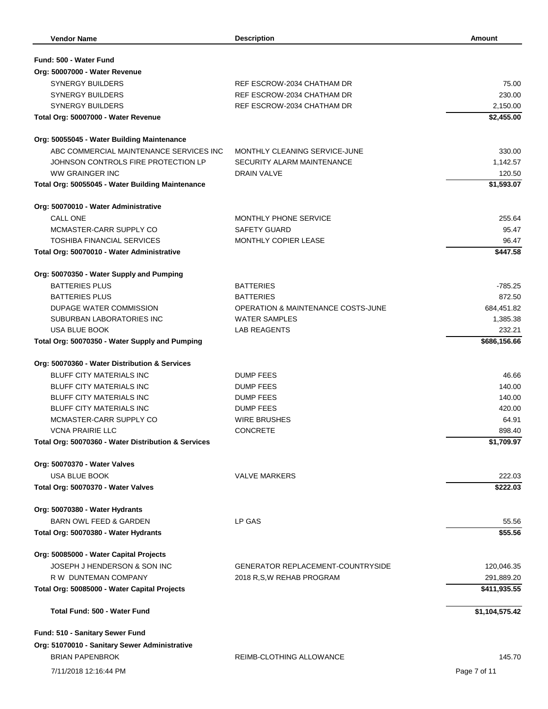| Fund: 500 - Water Fund                              |                                          |                |
|-----------------------------------------------------|------------------------------------------|----------------|
| Org: 50007000 - Water Revenue                       |                                          |                |
| <b>SYNERGY BUILDERS</b>                             | REF ESCROW-2034 CHATHAM DR               | 75.00          |
| <b>SYNERGY BUILDERS</b>                             | REF ESCROW-2034 CHATHAM DR               | 230.00         |
| <b>SYNERGY BUILDERS</b>                             | REF ESCROW-2034 CHATHAM DR               | 2,150.00       |
| Total Org: 50007000 - Water Revenue                 |                                          | \$2,455.00     |
| Org: 50055045 - Water Building Maintenance          |                                          |                |
| ABC COMMERCIAL MAINTENANCE SERVICES INC             | MONTHLY CLEANING SERVICE-JUNE            | 330.00         |
| JOHNSON CONTROLS FIRE PROTECTION LP                 | SECURITY ALARM MAINTENANCE               | 1,142.57       |
| <b>WW GRAINGER INC</b>                              | <b>DRAIN VALVE</b>                       | 120.50         |
| Total Org: 50055045 - Water Building Maintenance    |                                          | \$1,593.07     |
| Org: 50070010 - Water Administrative                |                                          |                |
| CALL ONE                                            | <b>MONTHLY PHONE SERVICE</b>             | 255.64         |
| MCMASTER-CARR SUPPLY CO                             | SAFETY GUARD                             | 95.47          |
| <b>TOSHIBA FINANCIAL SERVICES</b>                   | <b>MONTHLY COPIER LEASE</b>              | 96.47          |
| Total Org: 50070010 - Water Administrative          |                                          | \$447.58       |
| Org: 50070350 - Water Supply and Pumping            |                                          |                |
| <b>BATTERIES PLUS</b>                               | <b>BATTERIES</b>                         | -785.25        |
| <b>BATTERIES PLUS</b>                               | <b>BATTERIES</b>                         | 872.50         |
| DUPAGE WATER COMMISSION                             | OPERATION & MAINTENANCE COSTS-JUNE       | 684,451.82     |
| SUBURBAN LABORATORIES INC                           | <b>WATER SAMPLES</b>                     | 1,385.38       |
| <b>USA BLUE BOOK</b>                                | <b>LAB REAGENTS</b>                      | 232.21         |
| Total Org: 50070350 - Water Supply and Pumping      |                                          | \$686,156.66   |
| Org: 50070360 - Water Distribution & Services       |                                          |                |
| <b>BLUFF CITY MATERIALS INC</b>                     | <b>DUMP FEES</b>                         | 46.66          |
| <b>BLUFF CITY MATERIALS INC</b>                     | DUMP FEES                                | 140.00         |
| <b>BLUFF CITY MATERIALS INC</b>                     | <b>DUMP FEES</b>                         | 140.00         |
| <b>BLUFF CITY MATERIALS INC</b>                     | <b>DUMP FEES</b>                         | 420.00         |
| MCMASTER-CARR SUPPLY CO                             | <b>WIRE BRUSHES</b>                      | 64.91          |
| <b>VCNA PRAIRIE LLC</b>                             | <b>CONCRETE</b>                          | 898.40         |
| Total Org: 50070360 - Water Distribution & Services |                                          | \$1,709.97     |
| Org: 50070370 - Water Valves                        |                                          |                |
| <b>USA BLUE BOOK</b>                                | <b>VALVE MARKERS</b>                     | 222.03         |
| Total Org: 50070370 - Water Valves                  |                                          | \$222.03       |
| Org: 50070380 - Water Hydrants                      |                                          |                |
| <b>BARN OWL FEED &amp; GARDEN</b>                   | LP GAS                                   | 55.56          |
| Total Org: 50070380 - Water Hydrants                |                                          | \$55.56        |
| Org: 50085000 - Water Capital Projects              |                                          |                |
| JOSEPH J HENDERSON & SON INC                        | <b>GENERATOR REPLACEMENT COUNTRYSIDE</b> | 120,046.35     |
| R W DUNTEMAN COMPANY                                | 2018 R,S,W REHAB PROGRAM                 | 291,889.20     |
| Total Org: 50085000 - Water Capital Projects        |                                          | \$411,935.55   |
| Total Fund: 500 - Water Fund                        |                                          | \$1,104,575.42 |
| Fund: 510 - Sanitary Sewer Fund                     |                                          |                |
| Org: 51070010 - Sanitary Sewer Administrative       |                                          |                |
| <b>BRIAN PAPENBROK</b>                              | REIMB-CLOTHING ALLOWANCE                 | 145.70         |
| 7/11/2018 12:16:44 PM                               |                                          | Page 7 of 11   |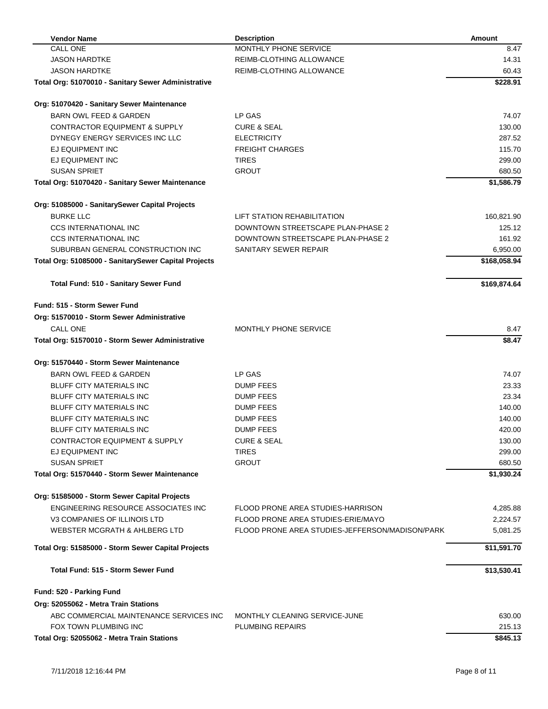| <b>Vendor Name</b>                                   | <b>Description</b>                              | <b>Amount</b> |
|------------------------------------------------------|-------------------------------------------------|---------------|
| <b>CALL ONE</b>                                      | MONTHLY PHONE SERVICE                           | 8.47          |
| <b>JASON HARDTKE</b>                                 | REIMB-CLOTHING ALLOWANCE                        | 14.31         |
| <b>JASON HARDTKE</b>                                 | REIMB-CLOTHING ALLOWANCE                        | 60.43         |
| Total Org: 51070010 - Sanitary Sewer Administrative  |                                                 | \$228.91      |
| Org: 51070420 - Sanitary Sewer Maintenance           |                                                 |               |
| <b>BARN OWL FEED &amp; GARDEN</b>                    | LP GAS                                          | 74.07         |
| <b>CONTRACTOR EQUIPMENT &amp; SUPPLY</b>             | <b>CURE &amp; SEAL</b>                          | 130.00        |
| DYNEGY ENERGY SERVICES INC LLC                       | <b>ELECTRICITY</b>                              | 287.52        |
| EJ EQUIPMENT INC                                     | <b>FREIGHT CHARGES</b>                          | 115.70        |
| EJ EQUIPMENT INC                                     | <b>TIRES</b>                                    | 299.00        |
| <b>SUSAN SPRIET</b>                                  | <b>GROUT</b>                                    | 680.50        |
| Total Org: 51070420 - Sanitary Sewer Maintenance     |                                                 | \$1,586.79    |
| Org: 51085000 - SanitarySewer Capital Projects       |                                                 |               |
| <b>BURKE LLC</b>                                     | LIFT STATION REHABILITATION                     | 160,821.90    |
| <b>CCS INTERNATIONAL INC</b>                         | DOWNTOWN STREETSCAPE PLAN-PHASE 2               | 125.12        |
| <b>CCS INTERNATIONAL INC</b>                         | DOWNTOWN STREETSCAPE PLAN-PHASE 2               | 161.92        |
| SUBURBAN GENERAL CONSTRUCTION INC                    | SANITARY SEWER REPAIR                           | 6,950.00      |
| Total Org: 51085000 - SanitarySewer Capital Projects |                                                 | \$168,058.94  |
| Total Fund: 510 - Sanitary Sewer Fund                |                                                 | \$169,874.64  |
| Fund: 515 - Storm Sewer Fund                         |                                                 |               |
| Org: 51570010 - Storm Sewer Administrative           |                                                 |               |
| <b>CALL ONE</b>                                      | MONTHLY PHONE SERVICE                           | 8.47          |
| Total Org: 51570010 - Storm Sewer Administrative     |                                                 | \$8.47        |
| Org: 51570440 - Storm Sewer Maintenance              |                                                 |               |
| <b>BARN OWL FEED &amp; GARDEN</b>                    | LP GAS                                          | 74.07         |
| <b>BLUFF CITY MATERIALS INC</b>                      | <b>DUMP FEES</b>                                | 23.33         |
| <b>BLUFF CITY MATERIALS INC</b>                      | <b>DUMP FEES</b>                                | 23.34         |
| BLUFF CITY MATERIALS INC                             | DUMP FEES                                       | 140.00        |
| <b>BLUFF CITY MATERIALS INC</b>                      | <b>DUMP FEES</b>                                | 140.00        |
| <b>BLUFF CITY MATERIALS INC</b>                      | <b>DUMP FEES</b>                                | 420.00        |
| <b>CONTRACTOR EQUIPMENT &amp; SUPPLY</b>             | <b>CURE &amp; SEAL</b>                          | 130.00        |
| EJ EQUIPMENT INC                                     | <b>TIRES</b>                                    | 299.00        |
| <b>SUSAN SPRIET</b>                                  | <b>GROUT</b>                                    | 680.50        |
| Total Org: 51570440 - Storm Sewer Maintenance        |                                                 | \$1,930.24    |
| Org: 51585000 - Storm Sewer Capital Projects         |                                                 |               |
| ENGINEERING RESOURCE ASSOCIATES INC                  | FLOOD PRONE AREA STUDIES-HARRISON               | 4,285.88      |
| V3 COMPANIES OF ILLINOIS LTD                         | FLOOD PRONE AREA STUDIES-ERIE/MAYO              | 2,224.57      |
| WEBSTER MCGRATH & AHLBERG LTD                        | FLOOD PRONE AREA STUDIES-JEFFERSON/MADISON/PARK | 5,081.25      |
| Total Org: 51585000 - Storm Sewer Capital Projects   |                                                 | \$11,591.70   |
| Total Fund: 515 - Storm Sewer Fund                   |                                                 | \$13,530.41   |
| Fund: 520 - Parking Fund                             |                                                 |               |
| Org: 52055062 - Metra Train Stations                 |                                                 |               |
| ABC COMMERCIAL MAINTENANCE SERVICES INC              | MONTHLY CLEANING SERVICE-JUNE                   | 630.00        |
| FOX TOWN PLUMBING INC                                | <b>PLUMBING REPAIRS</b>                         | 215.13        |
| Total Org: 52055062 - Metra Train Stations           |                                                 | \$845.13      |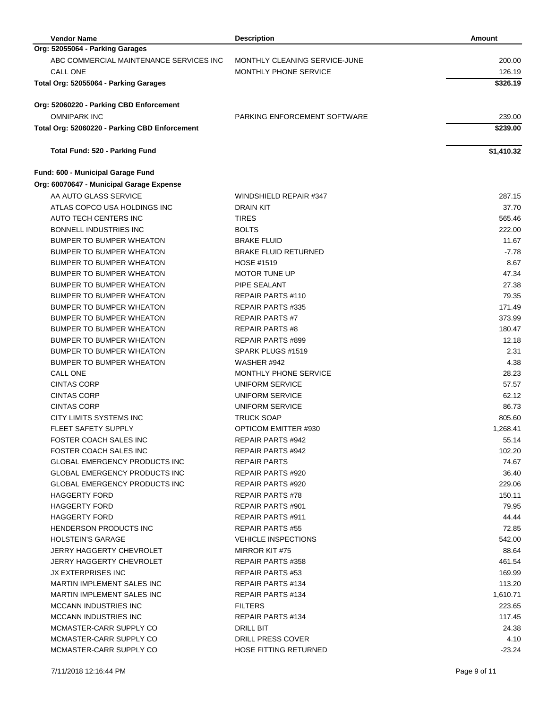| <b>Vendor Name</b>                            | <b>Description</b>            | <b>Amount</b> |
|-----------------------------------------------|-------------------------------|---------------|
| Org: 52055064 - Parking Garages               |                               |               |
| ABC COMMERCIAL MAINTENANCE SERVICES INC       | MONTHLY CLEANING SERVICE-JUNE | 200.00        |
| <b>CALL ONE</b>                               | MONTHLY PHONE SERVICE         | 126.19        |
| Total Org: 52055064 - Parking Garages         |                               | \$326.19      |
| Org: 52060220 - Parking CBD Enforcement       |                               |               |
| <b>OMNIPARK INC</b>                           | PARKING ENFORCEMENT SOFTWARE  | 239.00        |
| Total Org: 52060220 - Parking CBD Enforcement |                               | \$239.00      |
| Total Fund: 520 - Parking Fund                |                               | \$1,410.32    |
| Fund: 600 - Municipal Garage Fund             |                               |               |
| Org: 60070647 - Municipal Garage Expense      |                               |               |
| AA AUTO GLASS SERVICE                         | WINDSHIELD REPAIR #347        | 287.15        |
| ATLAS COPCO USA HOLDINGS INC                  | <b>DRAIN KIT</b>              | 37.70         |
| AUTO TECH CENTERS INC                         | <b>TIRES</b>                  | 565.46        |
| <b>BONNELL INDUSTRIES INC</b>                 | <b>BOLTS</b>                  | 222.00        |
| <b>BUMPER TO BUMPER WHEATON</b>               | <b>BRAKE FLUID</b>            | 11.67         |
| <b>BUMPER TO BUMPER WHEATON</b>               | <b>BRAKE FLUID RETURNED</b>   | $-7.78$       |
| <b>BUMPER TO BUMPER WHEATON</b>               | <b>HOSE #1519</b>             | 8.67          |
| BUMPER TO BUMPER WHEATON                      | <b>MOTOR TUNE UP</b>          | 47.34         |
| BUMPER TO BUMPER WHEATON                      | PIPE SEALANT                  | 27.38         |
| <b>BUMPER TO BUMPER WHEATON</b>               | <b>REPAIR PARTS #110</b>      | 79.35         |
| <b>BUMPER TO BUMPER WHEATON</b>               | REPAIR PARTS #335             | 171.49        |
| BUMPER TO BUMPER WHEATON                      | <b>REPAIR PARTS#7</b>         | 373.99        |
| <b>BUMPER TO BUMPER WHEATON</b>               | <b>REPAIR PARTS #8</b>        | 180.47        |
| <b>BUMPER TO BUMPER WHEATON</b>               | <b>REPAIR PARTS #899</b>      | 12.18         |
| <b>BUMPER TO BUMPER WHEATON</b>               | SPARK PLUGS #1519             | 2.31          |
| <b>BUMPER TO BUMPER WHEATON</b>               | WASHER #942                   | 4.38          |
| <b>CALL ONE</b>                               | MONTHLY PHONE SERVICE         | 28.23         |
| <b>CINTAS CORP</b>                            | UNIFORM SERVICE               | 57.57         |
| <b>CINTAS CORP</b>                            | UNIFORM SERVICE               | 62.12         |
| <b>CINTAS CORP</b>                            | UNIFORM SERVICE               | 86.73         |
| CITY LIMITS SYSTEMS INC                       | <b>TRUCK SOAP</b>             | 805.60        |
| <b>FLEET SAFETY SUPPLY</b>                    | <b>OPTICOM EMITTER #930</b>   | 1,268.41      |
| FOSTER COACH SALES INC                        | REPAIR PARTS #942             | 55.14         |
| FOSTER COACH SALES INC                        | REPAIR PARTS #942             | 102.20        |
| <b>GLOBAL EMERGENCY PRODUCTS INC</b>          | <b>REPAIR PARTS</b>           | 74.67         |
| <b>GLOBAL EMERGENCY PRODUCTS INC</b>          | REPAIR PARTS #920             | 36.40         |
| <b>GLOBAL EMERGENCY PRODUCTS INC</b>          | REPAIR PARTS #920             | 229.06        |
| HAGGERTY FORD                                 | <b>REPAIR PARTS #78</b>       | 150.11        |
| <b>HAGGERTY FORD</b>                          | <b>REPAIR PARTS #901</b>      | 79.95         |
| <b>HAGGERTY FORD</b>                          | <b>REPAIR PARTS #911</b>      | 44.44         |
| HENDERSON PRODUCTS INC                        | <b>REPAIR PARTS #55</b>       | 72.85         |
| <b>HOLSTEIN'S GARAGE</b>                      |                               |               |
| JERRY HAGGERTY CHEVROLET                      | <b>VEHICLE INSPECTIONS</b>    | 542.00        |
|                                               | MIRROR KIT #75                | 88.64         |
| JERRY HAGGERTY CHEVROLET                      | <b>REPAIR PARTS #358</b>      | 461.54        |
| JX EXTERPRISES INC                            | <b>REPAIR PARTS #53</b>       | 169.99        |
| <b>MARTIN IMPLEMENT SALES INC</b>             | <b>REPAIR PARTS #134</b>      | 113.20        |
| MARTIN IMPLEMENT SALES INC                    | REPAIR PARTS #134             | 1,610.71      |
| <b>MCCANN INDUSTRIES INC</b>                  | <b>FILTERS</b>                | 223.65        |
| <b>MCCANN INDUSTRIES INC</b>                  | <b>REPAIR PARTS #134</b>      | 117.45        |
| MCMASTER-CARR SUPPLY CO                       | DRILL BIT                     | 24.38         |
| MCMASTER-CARR SUPPLY CO                       | DRILL PRESS COVER             | 4.10          |
| MCMASTER-CARR SUPPLY CO                       | <b>HOSE FITTING RETURNED</b>  | $-23.24$      |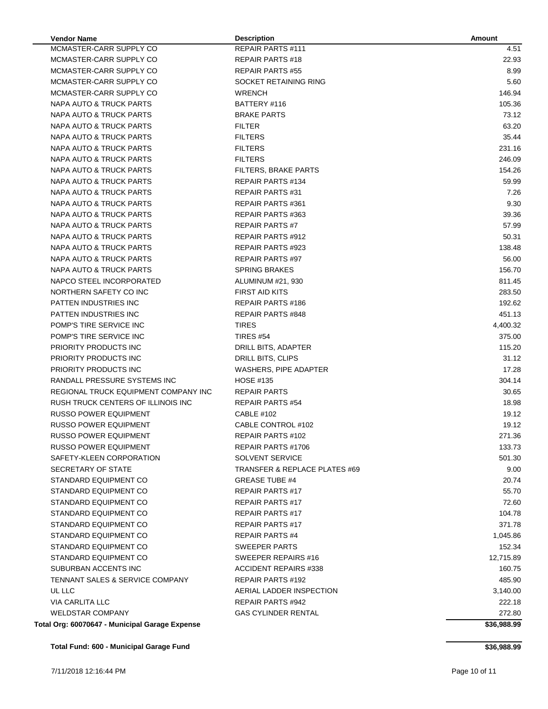| <b>Vendor Name</b>                             | <b>Description</b>                       | <b>Amount</b> |
|------------------------------------------------|------------------------------------------|---------------|
| MCMASTER-CARR SUPPLY CO                        | <b>REPAIR PARTS #111</b>                 | 4.51          |
| MCMASTER-CARR SUPPLY CO                        | <b>REPAIR PARTS #18</b>                  | 22.93         |
| MCMASTER-CARR SUPPLY CO                        | <b>REPAIR PARTS #55</b>                  | 8.99          |
| MCMASTER-CARR SUPPLY CO                        | SOCKET RETAINING RING                    | 5.60          |
| MCMASTER-CARR SUPPLY CO                        | <b>WRENCH</b>                            | 146.94        |
| NAPA AUTO & TRUCK PARTS                        | BATTERY #116                             | 105.36        |
| NAPA AUTO & TRUCK PARTS                        | <b>BRAKE PARTS</b>                       | 73.12         |
| NAPA AUTO & TRUCK PARTS                        | <b>FILTER</b>                            | 63.20         |
| NAPA AUTO & TRUCK PARTS                        | <b>FILTERS</b>                           | 35.44         |
| NAPA AUTO & TRUCK PARTS                        | <b>FILTERS</b>                           | 231.16        |
| NAPA AUTO & TRUCK PARTS                        | <b>FILTERS</b>                           | 246.09        |
| NAPA AUTO & TRUCK PARTS                        | FILTERS, BRAKE PARTS                     | 154.26        |
| NAPA AUTO & TRUCK PARTS                        | REPAIR PARTS #134                        | 59.99         |
| NAPA AUTO & TRUCK PARTS                        | <b>REPAIR PARTS #31</b>                  | 7.26          |
| NAPA AUTO & TRUCK PARTS                        | <b>REPAIR PARTS #361</b>                 | 9.30          |
| NAPA AUTO & TRUCK PARTS                        | REPAIR PARTS #363                        | 39.36         |
| NAPA AUTO & TRUCK PARTS                        | <b>REPAIR PARTS#7</b>                    | 57.99         |
| NAPA AUTO & TRUCK PARTS                        | <b>REPAIR PARTS #912</b>                 | 50.31         |
| NAPA AUTO & TRUCK PARTS                        | <b>REPAIR PARTS #923</b>                 | 138.48        |
| NAPA AUTO & TRUCK PARTS                        | <b>REPAIR PARTS #97</b>                  | 56.00         |
| NAPA AUTO & TRUCK PARTS                        | <b>SPRING BRAKES</b>                     | 156.70        |
| NAPCO STEEL INCORPORATED                       | ALUMINUM #21, 930                        | 811.45        |
| NORTHERN SAFETY CO INC                         | <b>FIRST AID KITS</b>                    | 283.50        |
| PATTEN INDUSTRIES INC                          | <b>REPAIR PARTS #186</b>                 | 192.62        |
| PATTEN INDUSTRIES INC                          | <b>REPAIR PARTS #848</b>                 | 451.13        |
| POMP'S TIRE SERVICE INC                        | <b>TIRES</b>                             | 4,400.32      |
| POMP'S TIRE SERVICE INC                        | <b>TIRES #54</b>                         | 375.00        |
| PRIORITY PRODUCTS INC                          | DRILL BITS, ADAPTER                      | 115.20        |
| PRIORITY PRODUCTS INC                          | DRILL BITS, CLIPS                        | 31.12         |
| PRIORITY PRODUCTS INC                          | WASHERS, PIPE ADAPTER                    | 17.28         |
| RANDALL PRESSURE SYSTEMS INC                   | <b>HOSE #135</b>                         | 304.14        |
| REGIONAL TRUCK EQUIPMENT COMPANY INC           | <b>REPAIR PARTS</b>                      | 30.65         |
| RUSH TRUCK CENTERS OF ILLINOIS INC             | <b>REPAIR PARTS #54</b>                  | 18.98         |
| <b>RUSSO POWER EQUIPMENT</b>                   | <b>CABLE #102</b>                        | 19.12         |
| <b>RUSSO POWER EQUIPMENT</b>                   | CABLE CONTROL #102                       | 19.12         |
| <b>RUSSO POWER EQUIPMENT</b>                   | REPAIR PARTS #102                        | 271.36        |
| RUSSO POWER EQUIPMENT                          | REPAIR PARTS #1706                       | 133.73        |
| SAFETY-KLEEN CORPORATION                       | <b>SOLVENT SERVICE</b>                   | 501.30        |
| SECRETARY OF STATE                             | <b>TRANSFER &amp; REPLACE PLATES #69</b> | 9.00          |
| STANDARD EQUIPMENT CO                          | <b>GREASE TUBE #4</b>                    | 20.74         |
| STANDARD EQUIPMENT CO                          | <b>REPAIR PARTS #17</b>                  | 55.70         |
| STANDARD EQUIPMENT CO                          | <b>REPAIR PARTS #17</b>                  | 72.60         |
| STANDARD EQUIPMENT CO                          | <b>REPAIR PARTS #17</b>                  | 104.78        |
| STANDARD EQUIPMENT CO                          | <b>REPAIR PARTS #17</b>                  | 371.78        |
| STANDARD EQUIPMENT CO                          | <b>REPAIR PARTS #4</b>                   | 1,045.86      |
| STANDARD EQUIPMENT CO                          | <b>SWEEPER PARTS</b>                     | 152.34        |
| STANDARD EQUIPMENT CO                          | SWEEPER REPAIRS #16                      | 12,715.89     |
| SUBURBAN ACCENTS INC                           | <b>ACCIDENT REPAIRS #338</b>             | 160.75        |
| <b>TENNANT SALES &amp; SERVICE COMPANY</b>     | <b>REPAIR PARTS #192</b>                 | 485.90        |
| UL LLC                                         | AERIAL LADDER INSPECTION                 | 3,140.00      |
| <b>VIA CARLITA LLC</b>                         | <b>REPAIR PARTS #942</b>                 | 222.18        |
| <b>WELDSTAR COMPANY</b>                        | <b>GAS CYLINDER RENTAL</b>               | 272.80        |
| Total Org: 60070647 - Municipal Garage Expense |                                          | \$36,988.99   |

**\$36,988.99**